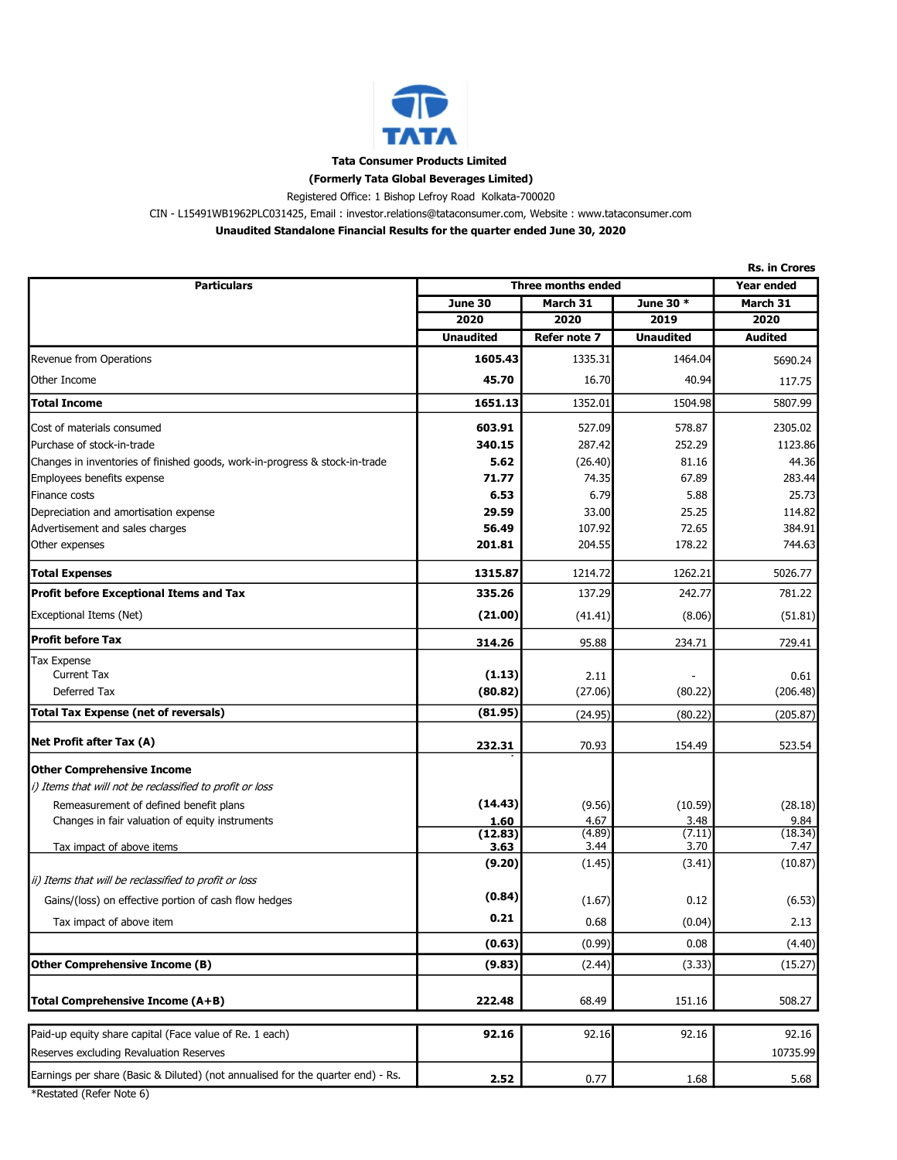

Tata Consumer Products Limited

(Formerly Tata Global Beverages Limited)

Registered Office: 1 Bishop Lefroy Road Kolkata-700020

CIN - L15491WB1962PLC031425, Email : investor.relations@tataconsumer.com, Website : www.tataconsumer.com

Unaudited Standalone Financial Results for the quarter ended June 30, 2020

| <b>Rs. in Crores</b>                                                            |                    |              |                  |                |
|---------------------------------------------------------------------------------|--------------------|--------------|------------------|----------------|
| <b>Particulars</b>                                                              | Three months ended |              |                  | Year ended     |
|                                                                                 | June 30            | March 31     | June 30 *        | March 31       |
|                                                                                 | 2020               | 2020         | 2019             | 2020           |
|                                                                                 | <b>Unaudited</b>   | Refer note 7 | <b>Unaudited</b> | <b>Audited</b> |
| <b>Revenue from Operations</b>                                                  | 1605.43            | 1335.31      | 1464.04          | 5690.24        |
| Other Income                                                                    | 45.70              | 16.70        | 40.94            | 117.75         |
| <b>Total Income</b>                                                             | 1651.13            | 1352.01      | 1504.98          | 5807.99        |
| Cost of materials consumed                                                      | 603.91             | 527.09       | 578.87           | 2305.02        |
| Purchase of stock-in-trade                                                      | 340.15             | 287.42       | 252.29           | 1123.86        |
| Changes in inventories of finished goods, work-in-progress & stock-in-trade     | 5.62               | (26.40)      | 81.16            | 44.36          |
| Employees benefits expense                                                      | 71.77              | 74.35        | 67.89            | 283.44         |
| Finance costs                                                                   | 6.53               | 6.79         | 5.88             | 25.73          |
| Depreciation and amortisation expense                                           | 29.59              | 33.00        | 25.25            | 114.82         |
| Advertisement and sales charges                                                 | 56.49              | 107.92       | 72.65            | 384.91         |
| Other expenses                                                                  | 201.81             | 204.55       | 178.22           | 744.63         |
| <b>Total Expenses</b>                                                           | 1315.87            | 1214.72      | 1262.21          | 5026.77        |
| <b>Profit before Exceptional Items and Tax</b>                                  | 335.26             | 137.29       | 242.77           | 781.22         |
| Exceptional Items (Net)                                                         | (21.00)            | (41.41)      | (8.06)           | (51.81)        |
| <b>Profit before Tax</b>                                                        | 314.26             | 95.88        | 234.71           | 729.41         |
| <b>Tax Expense</b>                                                              |                    |              |                  |                |
| <b>Current Tax</b>                                                              | (1.13)             | 2.11         |                  | 0.61           |
| Deferred Tax                                                                    | (80.82)            | (27.06)      | (80.22)          | (206.48)       |
| <b>Total Tax Expense (net of reversals)</b>                                     | (81.95)            | (24.95)      | (80.22)          | (205.87)       |
| Net Profit after Tax (A)                                                        | 232.31             | 70.93        | 154.49           | 523.54         |
| <b>Other Comprehensive Income</b>                                               |                    |              |                  |                |
| i) Items that will not be reclassified to profit or loss                        |                    |              |                  |                |
| Remeasurement of defined benefit plans                                          | (14.43)            | (9.56)       | (10.59)          | (28.18)        |
| Changes in fair valuation of equity instruments                                 | 1.60               | 4.67         | 3.48             | 9.84           |
|                                                                                 | (12.83)            | (4.89)       | (7.11)           | (18.34)        |
| Tax impact of above items                                                       | 3.63               | 3.44         | 3.70             | 7.47           |
| ii) Items that will be reclassified to profit or loss                           | (9.20)             | (1.45)       | (3.41)           | (10.87)        |
| Gains/(loss) on effective portion of cash flow hedges                           | (0.84)             | (1.67)       | 0.12             | (6.53)         |
| Tax impact of above item                                                        | 0.21               | 0.68         | (0.04)           | 2.13           |
|                                                                                 | (0.63)             | (0.99)       | 0.08             | (4.40)         |
| <b>Other Comprehensive Income (B)</b>                                           | (9.83)             | (2.44)       | (3.33)           | (15.27)        |
|                                                                                 |                    |              |                  |                |
| <b>Total Comprehensive Income (A+B)</b>                                         | 222.48             | 68.49        | 151.16           | 508.27         |
| Paid-up equity share capital (Face value of Re. 1 each)                         | 92.16              | 92.16        | 92.16            | 92.16          |
| Reserves excluding Revaluation Reserves                                         |                    |              |                  | 10735.99       |
| Earnings per share (Basic & Diluted) (not annualised for the quarter end) - Rs. | 2.52               | 0.77         | 1.68             | 5.68           |

\*Restated (Refer Note 6)